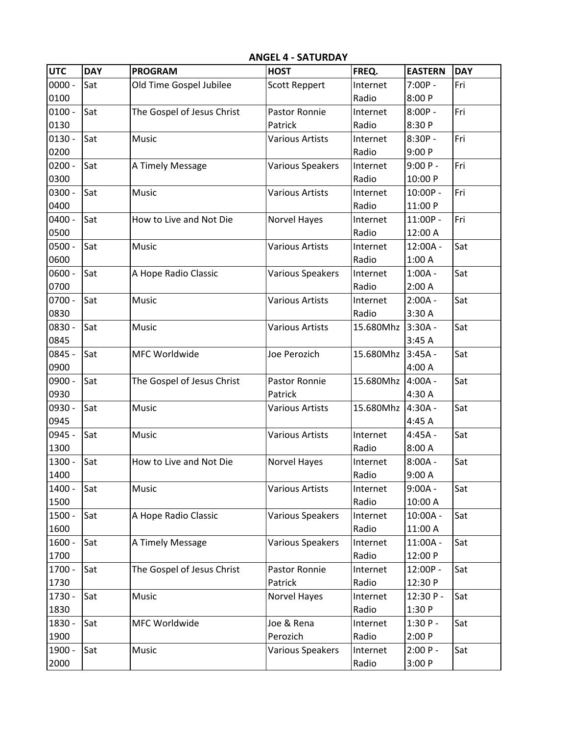| <b>UTC</b> | <b>DAY</b> | <b>PROGRAM</b>             | <b>HOST</b>             | FREQ.     | <b>EASTERN</b> | <b>DAY</b> |
|------------|------------|----------------------------|-------------------------|-----------|----------------|------------|
| $0000 -$   | Sat        | Old Time Gospel Jubilee    | <b>Scott Reppert</b>    | Internet  | $7:00P -$      | Fri        |
| 0100       |            |                            |                         | Radio     | 8:00 P         |            |
| $0100 -$   | Sat        | The Gospel of Jesus Christ | Pastor Ronnie           | Internet  | $8:00P -$      | Fri        |
| 0130       |            |                            | Patrick                 | Radio     | 8:30 P         |            |
| $0130 -$   | Sat        | Music                      | <b>Various Artists</b>  | Internet  | $8:30P -$      | Fri        |
| 0200       |            |                            |                         | Radio     | 9:00P          |            |
| $0200 -$   | Sat        | A Timely Message           | Various Speakers        | Internet  | $9:00P -$      | Fri        |
| 0300       |            |                            |                         | Radio     | 10:00 P        |            |
| 0300 -     | Sat        | Music                      | <b>Various Artists</b>  | Internet  | 10:00P -       | Fri        |
| 0400       |            |                            |                         | Radio     | 11:00 P        |            |
| $0400 -$   | Sat        | How to Live and Not Die    | Norvel Hayes            | Internet  | 11:00P -       | Fri        |
| 0500       |            |                            |                         | Radio     | 12:00 A        |            |
| $0500 -$   | Sat        | Music                      | <b>Various Artists</b>  | Internet  | $12:00A -$     | Sat        |
| 0600       |            |                            |                         | Radio     | 1:00A          |            |
| $0600 -$   | Sat        | A Hope Radio Classic       | Various Speakers        | Internet  | $1:00A -$      | Sat        |
| 0700       |            |                            |                         | Radio     | 2:00A          |            |
| $0700 -$   | Sat        | Music                      | <b>Various Artists</b>  | Internet  | $2:00A -$      | Sat        |
| 0830       |            |                            |                         | Radio     | 3:30 A         |            |
| 0830 -     | Sat        | Music                      | <b>Various Artists</b>  | 15.680Mhz | $3:30A -$      | Sat        |
| 0845       |            |                            |                         |           | 3:45A          |            |
| 0845 -     | Sat        | MFC Worldwide              | Joe Perozich            | 15.680Mhz | $3:45A -$      | Sat        |
| 0900       |            |                            |                         |           | 4:00 A         |            |
| 0900 -     | Sat        | The Gospel of Jesus Christ | Pastor Ronnie           | 15.680Mhz | $4:00A -$      | Sat        |
| 0930       |            |                            | Patrick                 |           | 4:30 A         |            |
| 0930 -     | Sat        | Music                      | <b>Various Artists</b>  | 15.680Mhz | $4:30A -$      | Sat        |
| 0945       |            |                            |                         |           | 4:45 A         |            |
| 0945 -     | Sat        | Music                      | <b>Various Artists</b>  | Internet  | $4:45A -$      | Sat        |
| 1300       |            |                            |                         | Radio     | 8:00 A         |            |
| 1300 -     | Sat        | How to Live and Not Die    | Norvel Hayes            | Internet  | $8:00A -$      | Sat        |
| 1400       |            |                            |                         | Radio     | 9:00A          |            |
| 1400 -     | Sat        | Music                      | <b>Various Artists</b>  | Internet  | $9:00A -$      | Sat        |
| 1500       |            |                            |                         | Radio     | 10:00 A        |            |
| 1500 -     | Sat        | A Hope Radio Classic       | Various Speakers        | Internet  | $10:00A -$     | Sat        |
| 1600       |            |                            |                         | Radio     | 11:00 A        |            |
| $1600 -$   | Sat        | A Timely Message           | <b>Various Speakers</b> | Internet  | 11:00A -       | Sat        |
| 1700       |            |                            |                         | Radio     | 12:00 P        |            |
| 1700 -     | Sat        | The Gospel of Jesus Christ | Pastor Ronnie           | Internet  | 12:00P -       | Sat        |
| 1730       |            |                            | Patrick                 | Radio     | 12:30 P        |            |
| 1730 -     | Sat        | Music                      | Norvel Hayes            | Internet  | 12:30 P-       | Sat        |
| 1830       |            |                            |                         | Radio     | 1:30 P         |            |
| 1830 -     | Sat        | MFC Worldwide              | Joe & Rena              | Internet  | $1:30P -$      | Sat        |
| 1900       |            |                            | Perozich                | Radio     | 2:00P          |            |
| 1900 -     | Sat        | Music                      | Various Speakers        | Internet  | $2:00 P -$     | Sat        |
| 2000       |            |                            |                         | Radio     | 3:00P          |            |

**ANGEL 4 - SATURDAY**